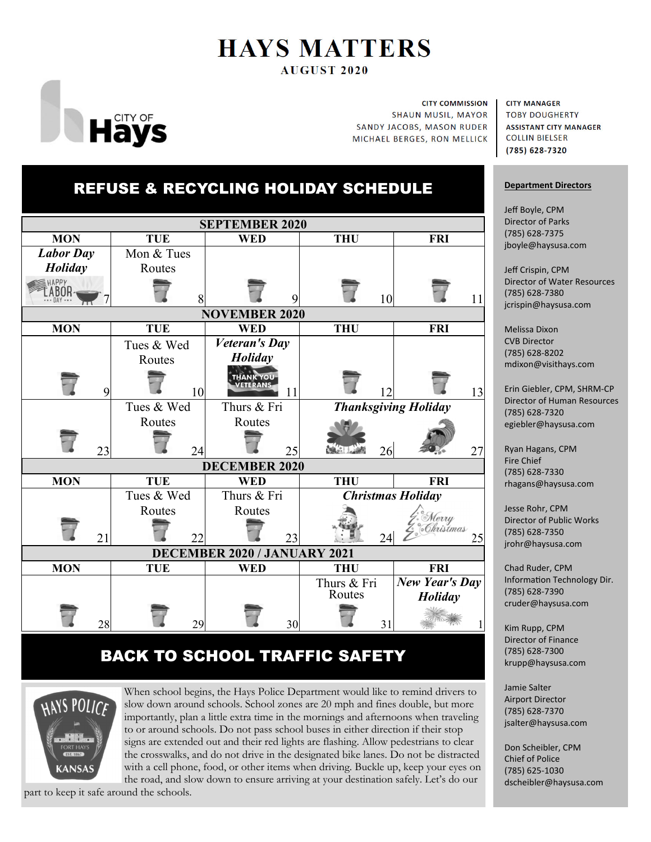# **HAYS MATTERS AUGUST 2020**



**CITY COMMISSION SHAUN MUSIL, MAYOR SANDY JACOBS, MASON RUDER** MICHAEL BERGES, RON MELLICK

#### **CITY MANAGER**

**TOBY DOUGHERTY ASSISTANT CITY MANAGER COLLIN BIELSER** (785) 628-7320

#### **Department Directors**

Jeff Boyle, CPM Director of Parks (785) 628‐7375 jboyle@haysusa.com

Jeff Crispin, CPM Director of Water Resources (785) 628‐7380 jcrispin@haysusa.com

Melissa Dixon CVB Director (785) 628‐8202 mdixon@visithays.com

Erin Giebler, CPM, SHRM‐CP Director of Human Resources (785) 628‐7320 egiebler@haysusa.com

Ryan Hagans, CPM Fire Chief (785) 628‐7330 rhagans@haysusa.com

Jesse Rohr, CPM Director of Public Works (785) 628‐7350 jrohr@haysusa.com

Chad Ruder, CPM Information Technology Dir. (785) 628‐7390 cruder@haysusa.com

Kim Rupp, CPM Director of Finance (785) 628‐7300 krupp@haysusa.com

Jamie Salter Airport Director (785) 628‐7370 jsalter@haysusa.com

Don Scheibler, CPM Chief of Police (785) 625‐1030 dscheibler@haysusa.com

# REFUSE & RECYCLING HOLIDAY SCHEDULE



# BACK TO SCHOOL TRAFFIC SAFETY



When school begins, the Hays Police Department would like to remind drivers to slow down around schools. School zones are 20 mph and fines double, but more importantly, plan a little extra time in the mornings and afternoons when traveling to or around schools. Do not pass school buses in either direction if their stop signs are extended out and their red lights are flashing. Allow pedestrians to clear the crosswalks, and do not drive in the designated bike lanes. Do not be distracted with a cell phone, food, or other items when driving. Buckle up, keep your eyes on the road, and slow down to ensure arriving at your destination safely. Let's do our

part to keep it safe around the schools.